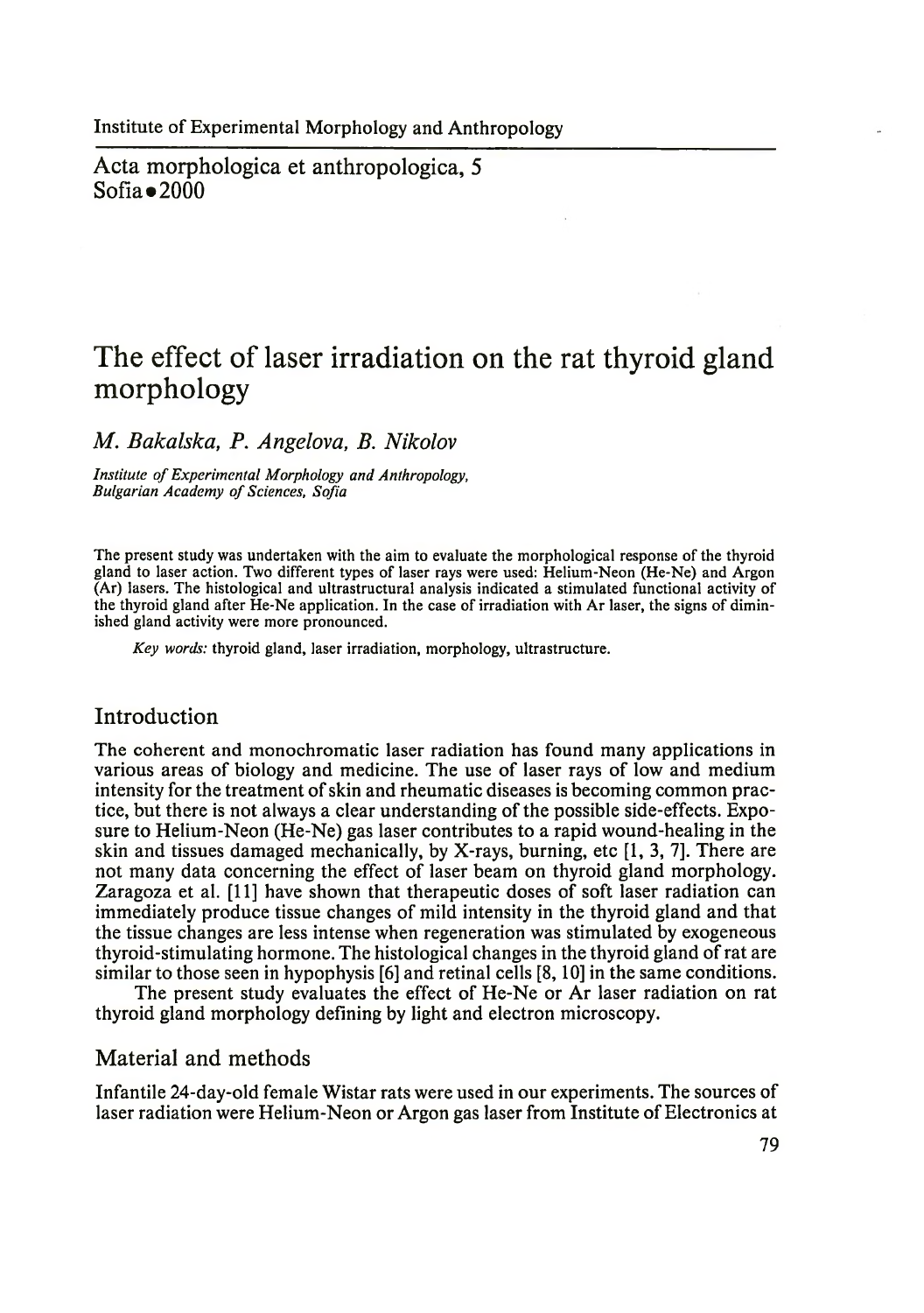Acta morphologica et anthropologica, 5  $Sofia \bullet 2000$ 

# **The effect of laser irradiation on the rat thyroid gland morphology**

*M. Bakalska, P. Angelova, B. Nikolov*

*Institute of Experimental Morphology and Anthropology,* **Bulgarian Academy of Sciences, Sofia** 

The present study was undertaken with the aim to evaluate the morphological response of the thyroid gland to laser action. Two different types of laser rays were used: Helium-Neon (He-Ne) and Argon (Ar) lasers. The histological and ultrastructural analysis indicated a stimulated functional activity of the thyroid gland after He-Ne application. In the case of irradiation with Ar laser, the signs of diminished gland activity were more pronounced.

*Key words:* thyroid gland, laser irradiation, morphology, ultrastructure.

#### Introduction

The coherent and monochromatic laser radiation has found many applications in various areas of biology and medicine. The use of laser rays of low and medium intensity for the treatment of skin and rheumatic diseases is becoming common practice, but there is not always a clear understanding of the possible side-effects. Exposure to Helium-Neon (He-Ne) gas laser contributes to a rapid wound-healing in the skin and tissues damaged mechanically, by X-rays, burning, etc [1, 3, 7]. There are not many data concerning the effect of laser beam on thyroid gland morphology. Zaragoza et al. [11] have shown that therapeutic doses of soft laser radiation can immediately produce tissue changes of mild intensity in the thyroid gland and that the tissue changes are less intense when regeneration was stimulated by exogeneous thyroid-stimulating hormone. The histological changes in the thyroid gland of rat are similar to those seen in hypophysis [6] and retinal cells [8,10] in the same conditions.

The present study evaluates the effect of He-Ne or Ar laser radiation on rat thyroid gland morphology defining by light and electron microscopy.

#### Material and methods

Infantile 24-day-old female Wistar rats were used in our experiments. The sources of laser radiation were Helium-Neon or Argon gas laser from Institute of Electronics at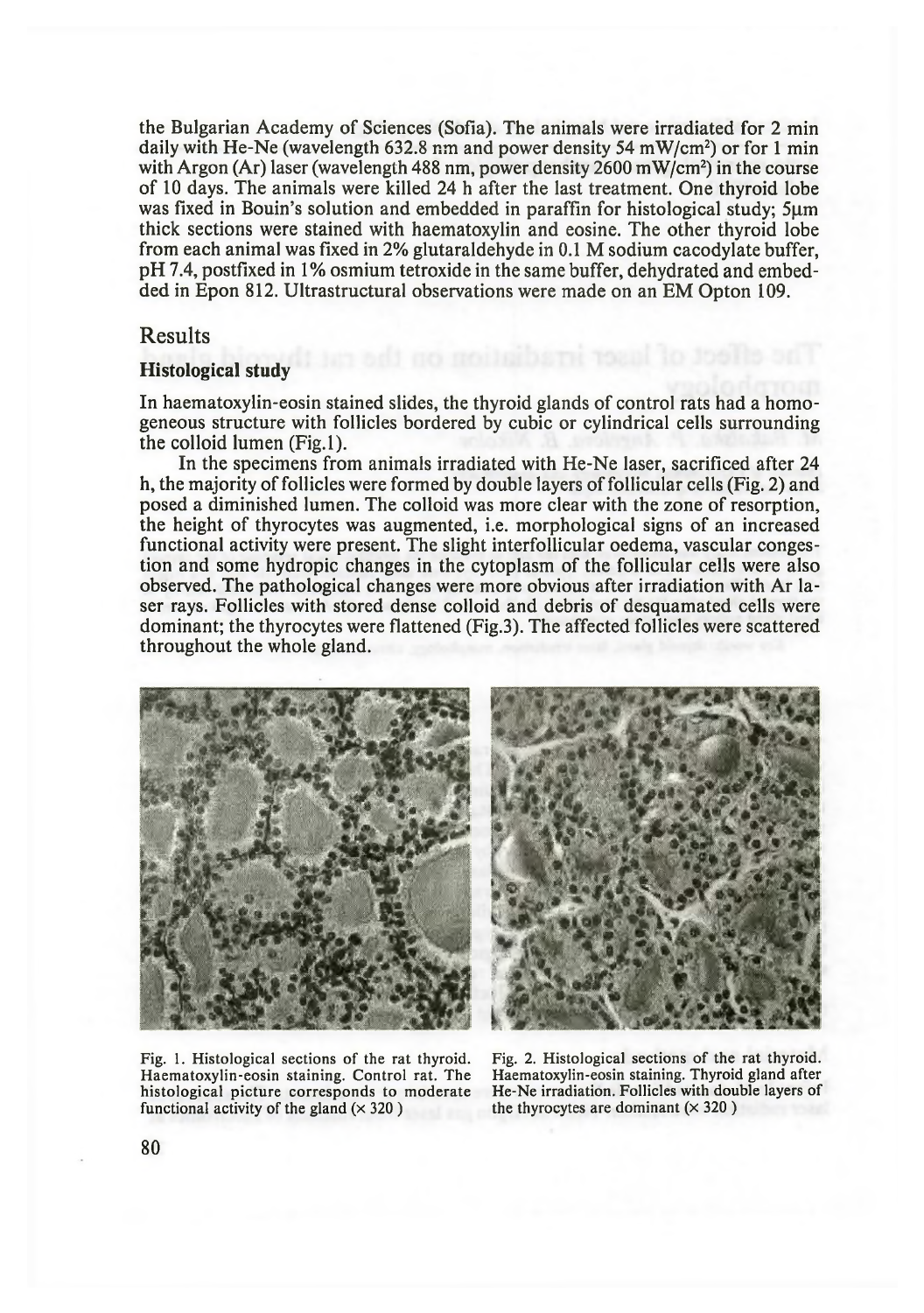the Bulgarian Academy of Sciences (Sofia). The animals were irradiated for 2 min daily with He-Ne (wavelength 632.8 nm and power density 54 mW/cm<sup>2</sup>) or for 1 min with Argon (Ar) laser (wavelength 488 nm, power density  $2600 \text{ mW/cm}^2$ ) in the course of 10 days. The animals were killed 24 h after the last treatment. One thyroid lobe was fixed in Bouin's solution and embedded in paraffin for histological study; 5um thick sections were stained with haematoxylin and eosine. The other thyroid lobe from each animal was fixed in 2% glutaraldehyde in 0.1 M sodium cacodylate buffer, pH 7.4, postfixed in 1% osmium tetroxide in the same buffer, dehydrated and embedded in Epon 812. Ultrastructural observations were made on an EM Opton 109.

## Results

#### Histological study

In haematoxylin-eosin stained slides, the thyroid glands of control rats had a homogeneous structure with follicles bordered by cubic or cylindrical cells surrounding the colloid lumen (Fig.l).

In the specimens from animals irradiated with He-Ne laser, sacrificed after 24 h, the majority of follicles were formed by double layers of follicular cells (Fig. 2) and posed a diminished lumen. The colloid was more clear with the zone of resorption, the height of thyrocytes was augmented, i.e. morphological signs of an increased functional activity were present. The slight interfollicular oedema, vascular congestion and some hydropic changes in the cytoplasm of the follicular cells were also observed. The pathological changes were more obvious after irradiation with Ar laser rays. Follicles with stored dense colloid and debris of desquamated cells were dominant; the thyrocytes were flattened (Fig.3). The affected follicles were scattered throughout the whole gland.



Fig. 1. Histological sections of the rat thyroid. Haematoxylin-eosin staining. Control rat. The histological picture corresponds to moderate functional activity of the gland  $(\times 320)$ 



Fig. 2. Histological sections of the rat thyroid. Haematoxylin-eosin staining. Thyroid gland after He-Ne irradiation. Follicles with double layers of the thyrocytes are dominant  $(x 320)$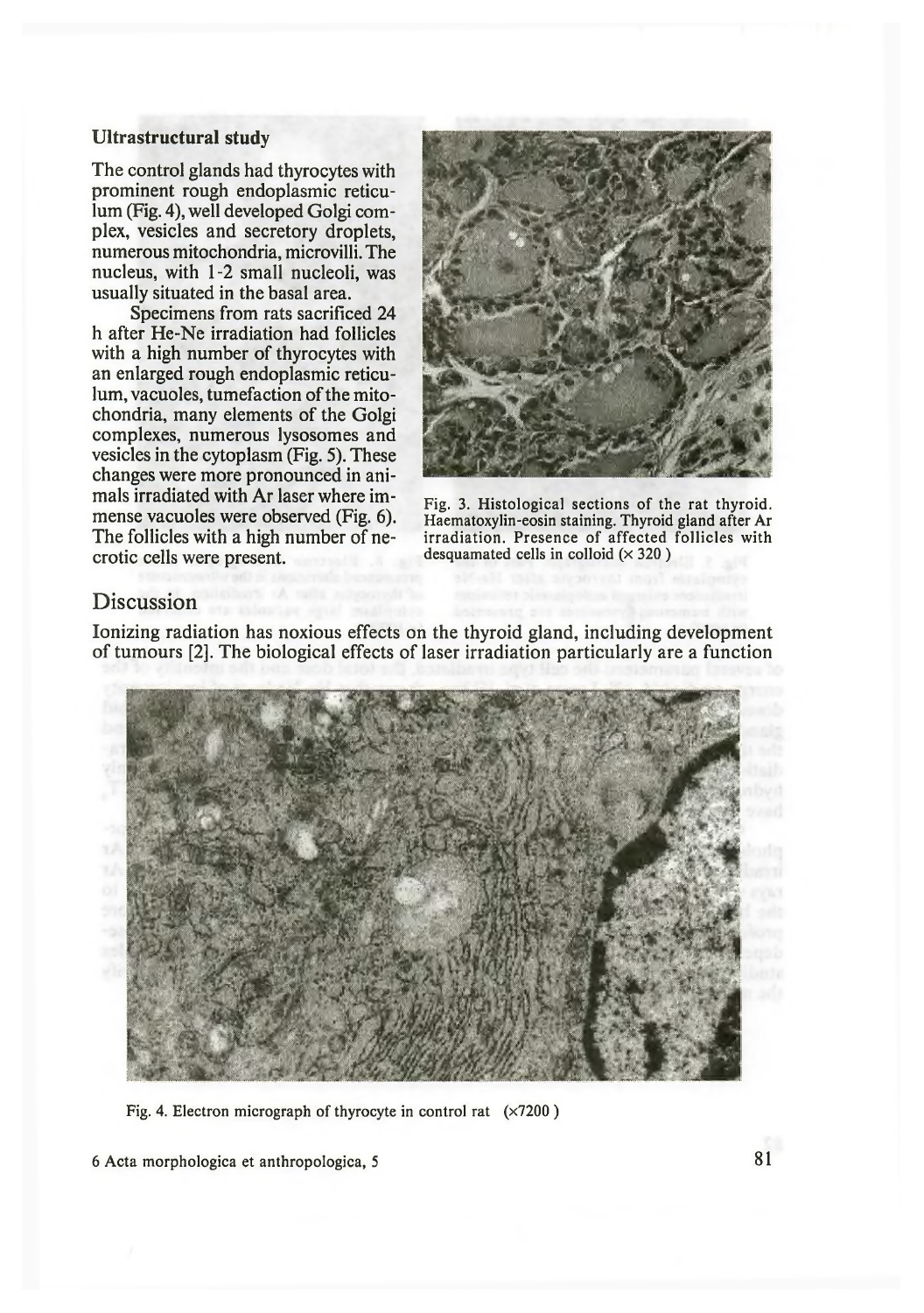#### Ultrastructural study

The control glands had thyrocytes with prominent rough endoplasmic reticulum (Fig. 4), well developed Golgi complex, vesicles and secretory droplets, numerous mitochondria, microvilli. The nucleus, with 1-2 small nucleoli, was usually situated in the basal area.

Specimens from rats sacrificed 24 h after He-Ne irradiation had follicles with a high number of thyrocytes with an enlarged rough endoplasmic reticulum, vacuoles, tumefaction of the mitochondria, many elements of the Golgi complexes, numerous lysosomes and vesicles in the cytoplasm (Fig. 5). These changes were more pronounced in animals irradiated with Ar laser where immense vacuoles were observed (Fig. 6). The follicles with a high number of necrotic cells were present.



Fig. 3. Histological sections of the rat thyroid. Haematoxylin-eosin staining. Thyroid gland after Ar irradiation. Presence of affected follicles with desquamated cells in colloid  $(x 320)$ 

### Discussion

Ionizing radiation has noxious effects on the thyroid gland, including development of tumours [2]. The biological effects of laser irradiation particularly are a function



Fig. 4. Electron micrograph of thyrocyte in control rat  $(x7200)$ 

6 Acta morphologica et anthropologica, 5 81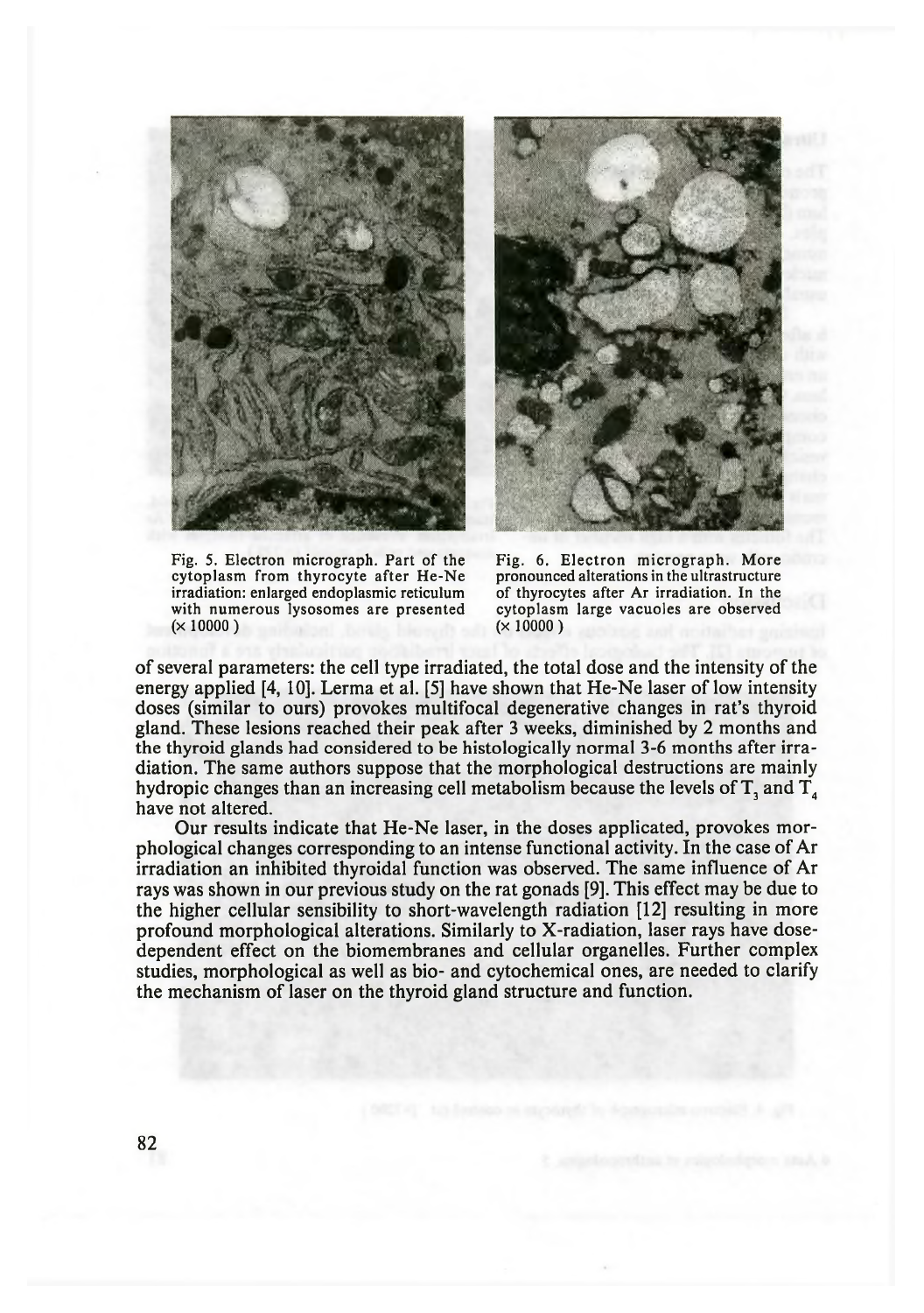



Fig. 5. Electron micrograph. Part of the cytoplasm from thyrocyte after He-Ne irradiation: enlarged endoplasmic reticulum with numerous lysosomes are presented  $(x 10000)$ 

Fig. 6. Electron micrograph. More pronounced alterations in the ultrastructure of thyrocytes after Ar irradiation. In the cytoplasm large vacuoles are observed  $(x 10000)$ 

of several parameters: the cell type irradiated, the total dose and the intensity of the energy applied [4, 10]. Lerma et al. [5] have shown that He-Ne laser of low intensity doses (similar to ours) provokes multifocal degenerative changes in rat's thyroid gland. These lesions reached their peak after 3 weeks, diminished by 2 months and the thyroid glands had considered to be histologically normal 3-6 months after irradiation. The same authors suppose that the morphological destructions are mainly hydropic changes than an increasing cell metabolism because the levels of  $T$ , and  $T<sub>4</sub>$ have not altered.

Our results indicate that He-Ne laser, in the doses applicated, provokes morphological changes corresponding to an intense functional activity. In the case of Ar irradiation an inhibited thyroidal function was observed. The same influence of Ar rays was shown in our previous study on the rat gonads [9]. This effect may be due to the higher cellular sensibility to short-wavelength radiation [12] resulting in more profound morphological alterations. Similarly to X-radiation, laser rays have dosedependent effect on the biomembranes and cellular organelles. Further complex studies, morphological as well as bio- and cytochemical ones, are needed to clarify the mechanism of laser on the thyroid gland structure and function.